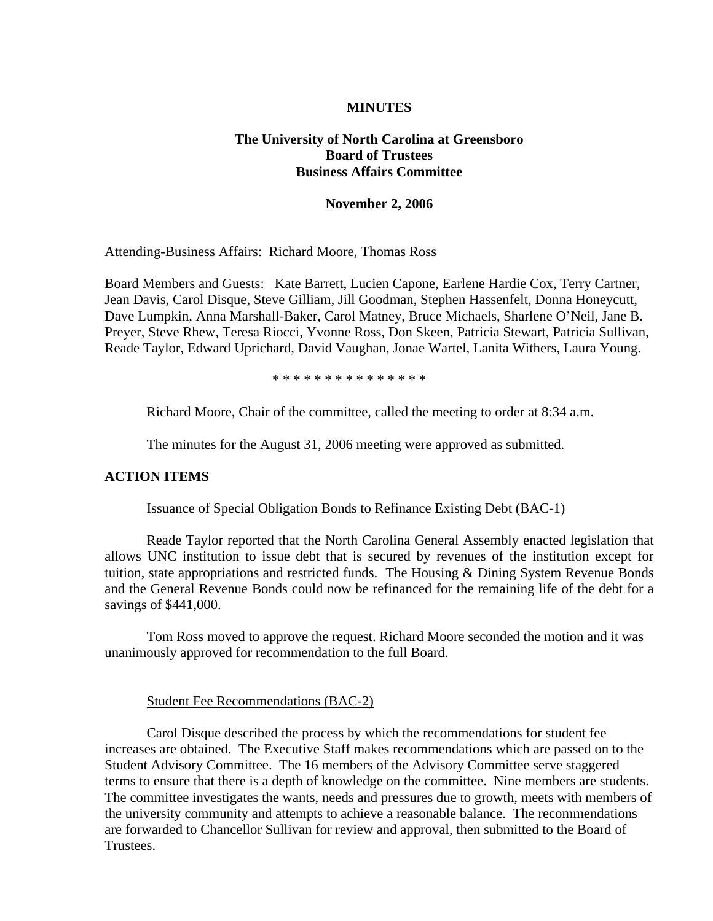## **MINUTES**

# **The University of North Carolina at Greensboro Board of Trustees Business Affairs Committee**

### **November 2, 2006**

Attending-Business Affairs: Richard Moore, Thomas Ross

Board Members and Guests: Kate Barrett, Lucien Capone, Earlene Hardie Cox, Terry Cartner, Jean Davis, Carol Disque, Steve Gilliam, Jill Goodman, Stephen Hassenfelt, Donna Honeycutt, Dave Lumpkin, Anna Marshall-Baker, Carol Matney, Bruce Michaels, Sharlene O'Neil, Jane B. Preyer, Steve Rhew, Teresa Riocci, Yvonne Ross, Don Skeen, Patricia Stewart, Patricia Sullivan, Reade Taylor, Edward Uprichard, David Vaughan, Jonae Wartel, Lanita Withers, Laura Young.

\* \* \* \* \* \* \* \* \* \* \* \* \* \* \*

Richard Moore, Chair of the committee, called the meeting to order at 8:34 a.m.

The minutes for the August 31, 2006 meeting were approved as submitted.

### **ACTION ITEMS**

#### Issuance of Special Obligation Bonds to Refinance Existing Debt (BAC-1)

Reade Taylor reported that the North Carolina General Assembly enacted legislation that allows UNC institution to issue debt that is secured by revenues of the institution except for tuition, state appropriations and restricted funds. The Housing & Dining System Revenue Bonds and the General Revenue Bonds could now be refinanced for the remaining life of the debt for a savings of \$441,000.

Tom Ross moved to approve the request. Richard Moore seconded the motion and it was unanimously approved for recommendation to the full Board.

#### Student Fee Recommendations (BAC-2)

 Carol Disque described the process by which the recommendations for student fee increases are obtained. The Executive Staff makes recommendations which are passed on to the Student Advisory Committee. The 16 members of the Advisory Committee serve staggered terms to ensure that there is a depth of knowledge on the committee. Nine members are students. The committee investigates the wants, needs and pressures due to growth, meets with members of the university community and attempts to achieve a reasonable balance. The recommendations are forwarded to Chancellor Sullivan for review and approval, then submitted to the Board of Trustees.